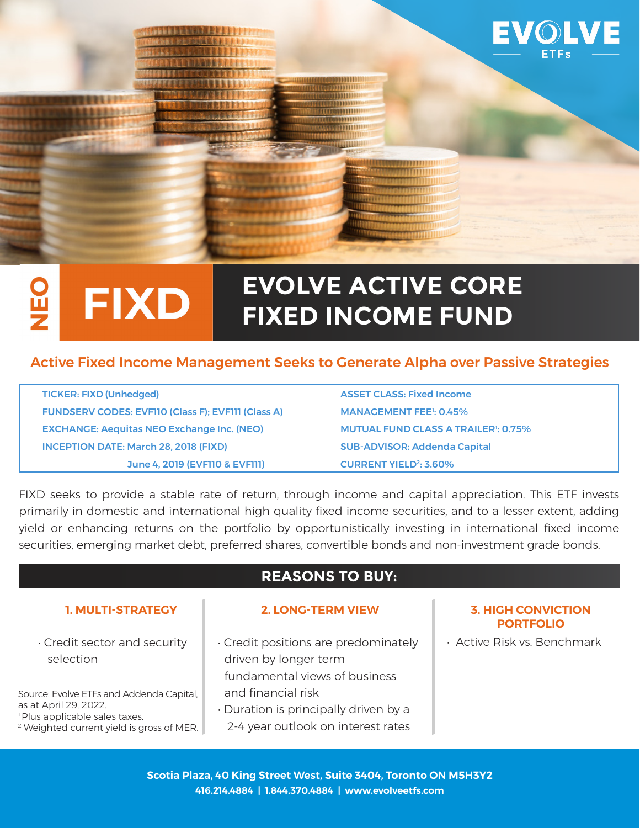

### **EVOLVE ACTIVE CORE FIXD** Ľ **FIXED INCOME FUND**

## Active Fixed Income Management Seeks to Generate Alpha over Passive Strategies

| <b>TICKER: FIXD (Unhedged)</b>                     | <b>ASSET CLASS: Fixed Income</b>            |
|----------------------------------------------------|---------------------------------------------|
| FUNDSERV CODES: EVFIIO (Class F); EVFIII (Class A) | <b>MANAGEMENT FEE<sup>1</sup>: 0.45%</b>    |
| <b>EXCHANGE: Aequitas NEO Exchange Inc. (NEO)</b>  | <b>MUTUAL FUND CLASS A TRAILER !: 0.75%</b> |
| <b>INCEPTION DATE: March 28, 2018 (FIXD)</b>       | <b>SUB-ADVISOR: Addenda Capital</b>         |
| June 4, 2019 (EVFI10 & EVFI11)                     | <b>CURRENT YIELD<sup>2</sup>: 3.60%</b>     |

FIXD seeks to provide a stable rate of return, through income and capital appreciation. This ETF invests primarily in domestic and international high quality fixed income securities, and to a lesser extent, adding yield or enhancing returns on the portfolio by opportunistically investing in international fixed income securities, emerging market debt, preferred shares, convertible bonds and non-investment grade bonds.

# **REASONS TO BUY:**

• Credit sector and security selection

Source: Evolve ETFs and Addenda Capital, as at April 29, 2022. <sup>1</sup> Plus applicable sales taxes.

2 Weighted current yield is gross of MER.

#### **1. MULTI-STRATEGY 2. LONG-TERM VIEW 3. HIGH CONVICTION**

- Credit positions are predominately driven by longer term fundamental views of business and financial risk
- Duration is principally driven by a 2-4 year outlook on interest rates

# **PORTFOLIO**

• Active Risk vs. Benchmark